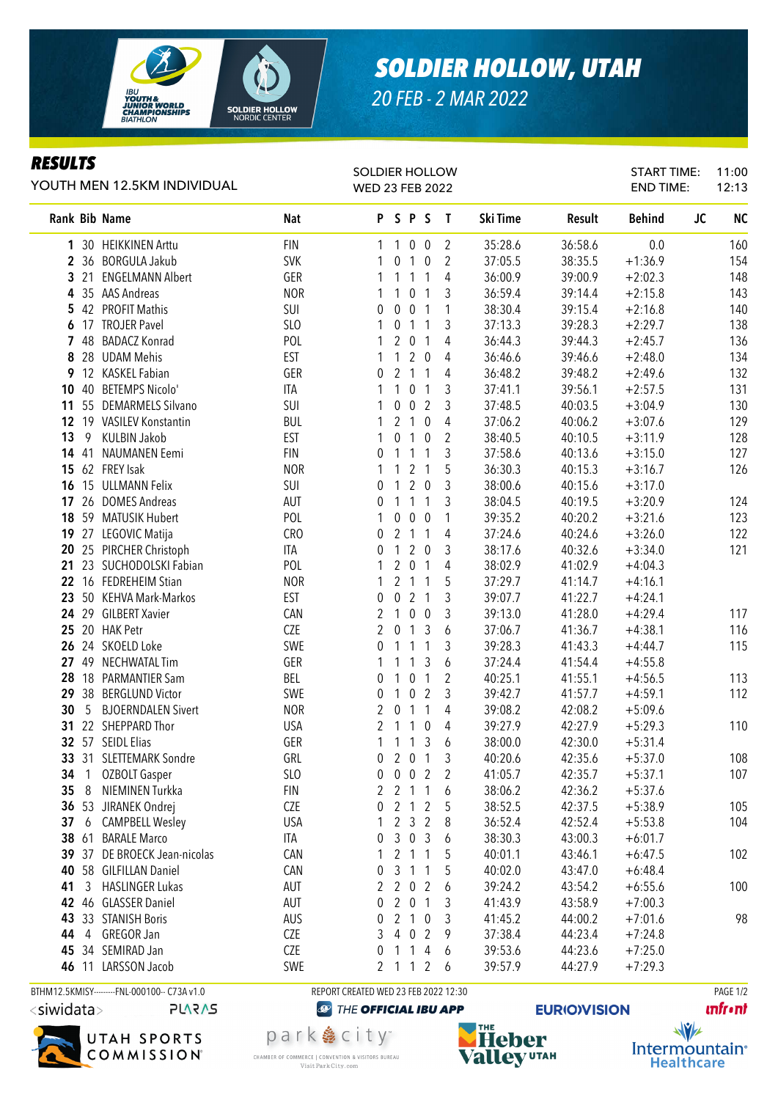

## *SOLDIER HOLLOW, UTAH*

*20 FEB - 2 MAR 2022*

## *RESULTS*

| YOUTH MEN 12.5KM INDIVIDUAL |                 |                                             |            | <b>SOLDIER HOLLOW</b><br>WED 23 FEB 2022 |                              |                                |                   |                |                    |                    | START TIME:<br><b>END TIME:</b> |           | 11:00<br>12:13 |  |
|-----------------------------|-----------------|---------------------------------------------|------------|------------------------------------------|------------------------------|--------------------------------|-------------------|----------------|--------------------|--------------------|---------------------------------|-----------|----------------|--|
|                             |                 | Rank Bib Name                               | <b>Nat</b> |                                          |                              | PSPS                           |                   | $\mathbf{I}$   | Ski Time           | Result             | <b>Behind</b>                   | <b>JC</b> | <b>NC</b>      |  |
|                             |                 | 1 30 HEIKKINEN Arttu                        | <b>FIN</b> | $\mathbf{1}$                             |                              | 100                            |                   | $\overline{2}$ | 35:28.6            | 36:58.6            | 0.0                             |           | 160            |  |
|                             |                 | 2 36 BORGULA Jakub                          | <b>SVK</b> | 1                                        | $\pmb{0}$                    | $\overline{1}$                 | $\overline{0}$    | 2              | 37:05.5            | 38:35.5            | $+1:36.9$                       |           | 154            |  |
|                             |                 | 3 21 ENGELMANN Albert                       | GER        | 1                                        | $\mathbf{1}$                 | $\overline{1}$                 | $\mathbf{1}$      | 4              | 36:00.9            | 39:00.9            | $+2:02.3$                       |           | 148            |  |
|                             |                 | 4 35 AAS Andreas                            | <b>NOR</b> | 1                                        | $\mathbf{1}$                 | $\pmb{0}$                      | $\mathbf{1}$      | 3              | 36:59.4            | 39:14.4            | $+2:15.8$                       |           | 143            |  |
|                             |                 | 5 42 PROFIT Mathis                          | SUI        | 0                                        | $\pmb{0}$                    | $\pmb{0}$                      | 1                 | 1              | 38:30.4            | 39:15.4            | $+2:16.8$                       |           | 140            |  |
|                             |                 | 6 17 TROJER Pavel                           | SLO        | 1                                        | 0                            | $\mathbf{1}$                   | 1                 | 3              | 37:13.3            | 39:28.3            | $+2:29.7$                       |           | 138            |  |
|                             | 7 48            | <b>BADACZ Konrad</b>                        | POL        | 1                                        |                              | $\overline{2}$<br>$\pmb{0}$    | 1                 | 4              | 36:44.3            | 39:44.3            | $+2:45.7$                       |           | 136            |  |
|                             |                 | 8 28 UDAM Mehis                             | EST        | 1                                        |                              | $\overline{2}$<br>$\mathbf{1}$ | $\overline{0}$    | 4              | 36:46.6            | 39:46.6            | $+2:48.0$                       |           | 134            |  |
|                             |                 | 9 12 KASKEL Fabian                          | GER        | 0                                        | $\overline{2}$               | $\mathbf{1}$                   | $\mathbf{1}$      | 4              | 36:48.2            | 39:48.2            | $+2:49.6$                       |           | 132            |  |
|                             |                 | 10 40 BETEMPS Nicolo'                       | ITA        | 1                                        |                              | $\mathbf{1}$<br>$\pmb{0}$      | $\mathbf{1}$      | 3              | 37:41.1            | 39:56.1            | $+2:57.5$                       |           | 131            |  |
|                             |                 | 11 55 DEMARMELS Silvano                     | SUI        | 1                                        | 0                            | $\pmb{0}$                      | $\overline{2}$    | 3              | 37:48.5            | 40:03.5            | $+3:04.9$                       |           | 130            |  |
|                             |                 | 12 19 VASILEV Konstantin                    | <b>BUL</b> | 1                                        |                              | 2 1 0                          |                   | 4              | 37:06.2            | 40:06.2            | $+3:07.6$                       |           | 129            |  |
| 13                          | 9               | <b>KULBIN Jakob</b>                         | EST        | 1                                        | 0                            |                                | $1\quad0$         | 2              | 38:40.5            | 40:10.5            | $+3:11.9$                       |           | 128            |  |
|                             | 14 41           | <b>NAUMANEN Eemi</b>                        | <b>FIN</b> | 0                                        |                              | 111                            |                   | 3              | 37:58.6            | 40:13.6            | $+3:15.0$                       |           | 127            |  |
|                             |                 | 15 62 FREY Isak                             | <b>NOR</b> | 1                                        |                              | $\mathbf{1}$                   | 2 <sub>1</sub>    | 5              | 36:30.3            | 40:15.3            | $+3:16.7$                       |           | 126            |  |
|                             |                 | 16 15 ULLMANN Felix                         | SUI        | $\mathbf 0$                              |                              | $\mathbf{1}$                   | $2\ 0$            | 3              | 38:00.6            | 40:15.6            | $+3:17.0$                       |           |                |  |
|                             |                 | 17 26 DOMES Andreas                         | <b>AUT</b> | $\overline{0}$                           |                              | $1\quad1$                      | $\mathbf{1}$      | 3              | 38:04.5            | 40:19.5            | $+3:20.9$                       |           | 124            |  |
|                             |                 | 18 59 MATUSIK Hubert                        | POL        | 1                                        | 0                            | $\pmb{0}$                      | $\mathbf 0$       | 1              | 39:35.2            | 40:20.2            | $+3:21.6$                       |           | 123            |  |
|                             |                 | 19 27 LEGOVIC Matija                        | <b>CRO</b> | $\overline{0}$                           |                              | 2 <sub>1</sub>                 | $\mathbf{1}$      | 4              | 37:24.6            | 40:24.6            | $+3:26.0$                       |           | 122            |  |
|                             |                 | 20 25 PIRCHER Christoph                     | ITA        | $\overline{0}$                           | $\mathbf{1}$                 | $\overline{2}$                 | $\mathbf 0$       | 3              | 38:17.6            | 40:32.6            | $+3:34.0$                       |           | 121            |  |
|                             |                 | 21 23 SUCHODOLSKI Fabian                    | POL        | 1                                        | $\overline{2}$               | $\pmb{0}$                      | $\mathbf{1}$      | 4              | 38:02.9            | 41:02.9            | $+4:04.3$                       |           |                |  |
|                             |                 | 22 16 FEDREHEIM Stian                       | <b>NOR</b> | 1                                        |                              | 2 1 1                          |                   | 5              | 37:29.7            | 41:14.7            | $+4:16.1$                       |           |                |  |
|                             |                 | 23 50 KEHVA Mark-Markos                     | EST        | 0                                        | $\pmb{0}$                    | $\overline{2}$                 | $\mathbf{1}$      | 3              | 39:07.7            | 41:22.7            | $+4:24.1$                       |           |                |  |
|                             |                 | 24 29 GILBERT Xavier                        | CAN        | $\overline{2}$                           | $\mathbf{1}$                 | $\pmb{0}$                      | $\overline{0}$    | 3              | 39:13.0            | 41:28.0            | $+4:29.4$                       |           | 117            |  |
|                             |                 | 25 20 HAK Petr                              | CZE        | $\overline{2}$                           | $\overline{0}$               | $\overline{1}$                 | $\mathbf{3}$      | 6              | 37:06.7            | 41:36.7            | $+4:38.1$                       |           | 116            |  |
|                             |                 | 26 24 SKOELD Loke                           | SWE        | 0                                        | $\mathbf{1}$                 | $\mathbf{1}$<br>1              | $\mathbf{1}$      | 3              | 39:28.3            | 41:43.3            | $+4:44.7$                       |           | 115            |  |
|                             |                 | 27 49 NECHWATAL Tim<br>28 18 PARMANTIER Sam | GER<br>BEL | 1                                        | $\mathbf{1}$<br>$\mathbf{1}$ | $\pmb{0}$                      | 3<br>$\mathbf{1}$ | 6              | 37:24.4            | 41:54.4            | $+4:55.8$                       |           |                |  |
|                             |                 | 29 38 BERGLUND Victor                       | SWE        | 0<br>0                                   | $\mathbf{1}$                 | $\mathbf 0$                    | $\overline{2}$    | 2<br>3         | 40:25.1<br>39:42.7 | 41:55.1<br>41:57.7 | $+4:56.5$<br>$+4:59.1$          |           | 113<br>112     |  |
| 30                          | $5\overline{5}$ | <b>BJOERNDALEN Sivert</b>                   | <b>NOR</b> | 2                                        | $\pmb{0}$                    | $\overline{1}$                 | $\mathbf{1}$      | 4              | 39:08.2            | 42:08.2            | $+5:09.6$                       |           |                |  |
|                             |                 | 31 22 SHEPPARD Thor                         | <b>USA</b> | $\overline{2}$                           |                              | $1\quad1$                      | $\overline{0}$    | 4              | 39:27.9            | 42:27.9            | $+5:29.3$                       |           | 110            |  |
|                             |                 | 32 57 SEIDL Elias                           | GER        | 1                                        |                              | 113                            |                   | 6              | 38:00.0            | 42:30.0            | $+5:31.4$                       |           |                |  |
|                             |                 | 33 31 SLETTEMARK Sondre                     | GRL        | $\boldsymbol{0}$                         |                              | $2 \quad 0 \quad 1$            |                   | 3              | 40:20.6            | 42:35.6            | $+5:37.0$                       |           | 108            |  |
| 34                          | $\sqrt{1}$      | <b>OZBOLT</b> Gasper                        | SLO        | 0                                        |                              | $0 \t0 \t2$                    |                   | 2              | 41:05.7            | 42:35.7            | $+5:37.1$                       |           | 107            |  |
| 358                         |                 | NIEMINEN Turkka                             | <b>FIN</b> | $\mathbf{2}$                             |                              | $2 \t1 \t1$                    |                   | 6              | 38:06.2            | 42:36.2            | $+5:37.6$                       |           |                |  |
|                             |                 | 36 53 JIRANEK Ondrej                        | CZE        | $\boldsymbol{0}$                         |                              | $2 \t1 \t2$                    |                   | 5              | 38:52.5            | 42:37.5            | $+5:38.9$                       |           | 105            |  |
|                             | 376             | <b>CAMPBELL Wesley</b>                      | <b>USA</b> | 1                                        |                              | 232                            |                   | 8              | 36:52.4            | 42:52.4            | $+5:53.8$                       |           | 104            |  |
|                             |                 | 38 61 BARALE Marco                          | ITA        | 0                                        |                              | 303                            |                   | 6              | 38:30.3            | 43:00.3            | $+6:01.7$                       |           |                |  |
|                             |                 | 39 37 DE BROECK Jean-nicolas                | CAN        | 1                                        |                              | 2 <sub>1</sub>                 | $\mathbf{1}$      | 5              | 40:01.1            | 43:46.1            | $+6:47.5$                       |           | 102            |  |
| 40                          |                 | 58 GILFILLAN Daniel                         | CAN        | 0                                        | $\mathfrak{Z}$               | $\overline{1}$                 | 1                 | 5              | 40:02.0            | 43:47.0            | $+6:48.4$                       |           |                |  |
| 41                          | $\mathbf{3}$    | <b>HASLINGER Lukas</b>                      | AUT        | $\overline{2}$                           | $\overline{2}$               | $\mathbf 0$                    | $\overline{2}$    | 6              | 39:24.2            | 43:54.2            | $+6:55.6$                       |           | 100            |  |
|                             |                 | 42 46 GLASSER Daniel                        | AUT        | 0                                        |                              | $2^{\circ}$<br>$\overline{0}$  | $\mathbf{1}$      | 3              | 41:43.9            | 43:58.9            | $+7:00.3$                       |           |                |  |
| 43                          |                 | 33 STANISH Boris                            | AUS        | 0                                        |                              | 2 <sub>1</sub>                 | $\overline{0}$    | 3              | 41:45.2            | 44:00.2            | $+7:01.6$                       |           | 98             |  |
| 44                          |                 | 4 GREGOR Jan                                | CZE        | 3                                        | $\overline{4}$               | $\overline{0}$                 | $\overline{2}$    | 9              | 37:38.4            | 44:23.4            | $+7:24.8$                       |           |                |  |
| 45                          |                 | 34 SEMIRAD Jan                              | CZE        | 0                                        |                              | $1\quad1$                      | 4                 | 6              | 39:53.6            | 44:23.6            | $+7:25.0$                       |           |                |  |
|                             |                 | 46 11 LARSSON Jacob                         | SWE        |                                          |                              | 2 1 1 2                        |                   | - 6            | 39:57.9            | 44:27.9            | $+7:29.3$                       |           |                |  |
|                             |                 |                                             |            |                                          |                              |                                |                   |                |                    |                    |                                 |           |                |  |

<siwidata> **PLARAS** 



BTHM12.5KMISY--------FNL-000100-- C73A v1.0 REPORT CREATED WED 23 FEB 2022 12:30 PAGE 1/2

**@** THE OFFICIAL IBU APP

park 急 city<sup>®</sup>

CHAMBER OF COMMERCE | CONVENTION & VISITORS BUREAU

Visit Park City.com



**EURIO)VISION** 



**unfront** 

 $\sqrt{v}$ Intermountain<sup>®</sup> **Healthcare**